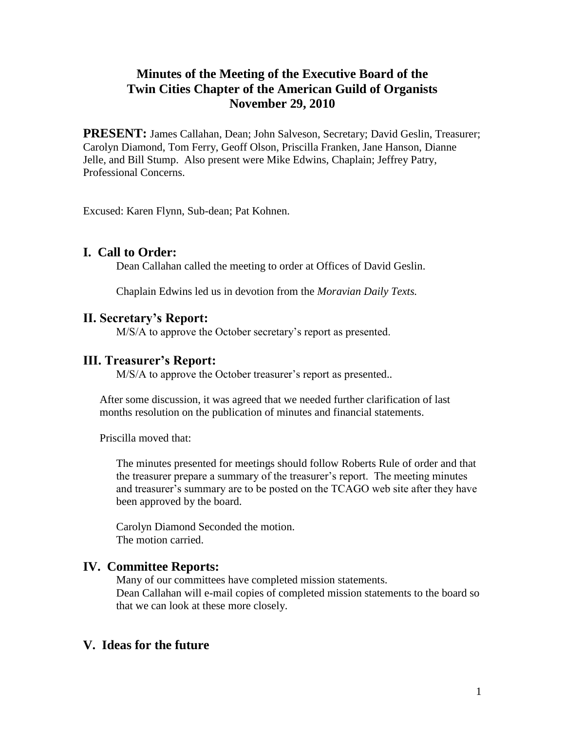# **Minutes of the Meeting of the Executive Board of the Twin Cities Chapter of the American Guild of Organists November 29, 2010**

**PRESENT:** James Callahan, Dean; John Salveson, Secretary; David Geslin, Treasurer; Carolyn Diamond, Tom Ferry, Geoff Olson, Priscilla Franken, Jane Hanson, Dianne Jelle, and Bill Stump. Also present were Mike Edwins, Chaplain; Jeffrey Patry, Professional Concerns.

Excused: Karen Flynn, Sub-dean; Pat Kohnen.

### **I. Call to Order:**

Dean Callahan called the meeting to order at Offices of David Geslin.

Chaplain Edwins led us in devotion from the *Moravian Daily Texts.*

#### **II. Secretary's Report:**

M/S/A to approve the October secretary's report as presented.

#### **III. Treasurer's Report:**

M/S/A to approve the October treasurer's report as presented..

After some discussion, it was agreed that we needed further clarification of last months resolution on the publication of minutes and financial statements.

Priscilla moved that:

The minutes presented for meetings should follow Roberts Rule of order and that the treasurer prepare a summary of the treasurer's report. The meeting minutes and treasurer's summary are to be posted on the TCAGO web site after they have been approved by the board.

Carolyn Diamond Seconded the motion. The motion carried.

### **IV. Committee Reports:**

Many of our committees have completed mission statements. Dean Callahan will e-mail copies of completed mission statements to the board so that we can look at these more closely.

### **V. Ideas for the future**